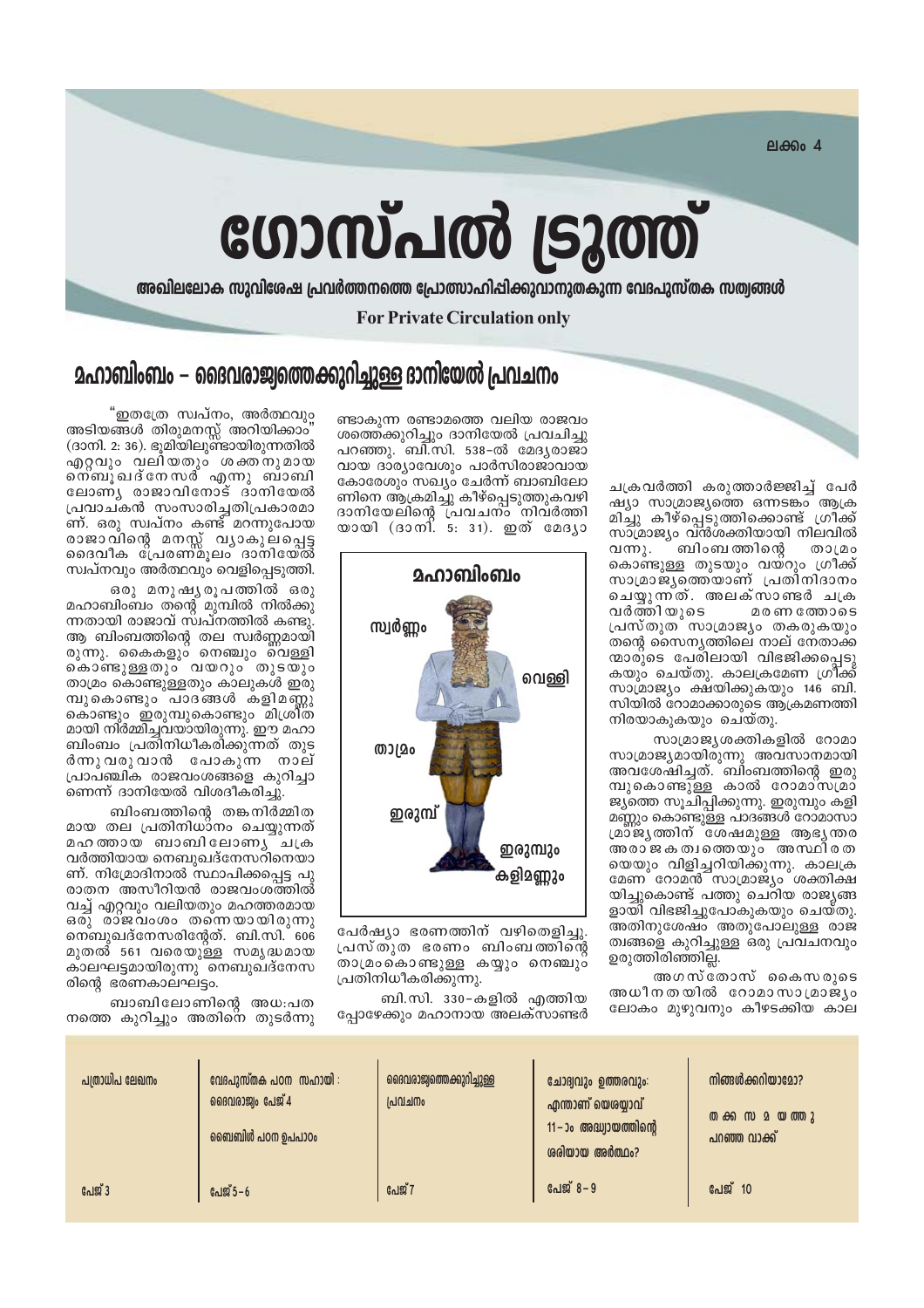ലക്കം 4

# ഗോസ്പൽ ട്രൂത്ത്

അഖിലലോക സുവിശേഷ പ്രവർത്തനത്തെ പ്രോത്സാഹിപ്പിക്കുവാനുതകുന്ന വേദപുസ്തക സത്വങ്ങൾ

**For Private Circulation only** 

## <u> മഹാബിംബം – ദൈവരാജ്വത്തെക്കുറിച്ചുള്ള ദാനിയേൽ പ്രവചനം</u>

ചക്രവർത്തി കരുത്താർജ്ജിച്ച് പേർ ഷ്യാ സാമ്രാജ്യത്തെ ഒന്നടങ്കം ആക്ര മിച്ചു കീഴ്പ്പെടുത്തിക്കൊണ്ട് ഗ്രീക്ക് സാമ്രാജ്യം വ്ൻശക്തിയായി നിലവിൽ വന്നു. ബിംബ ത്തിന്റെ താമ്രം കൊണ്ടുള്ള തുടയും വയ്റും ഗ്രീക്ക് സാമ്രാജ്യത്തെ്യാണ് പ്രതീനിദാനം ചെയ്യുന്നത്. അലക്സാണ്ടർ ചക്ര വർത്തിയുടെ മരണ ത്തോടെ പ്രസ്തുത സാമ്രാജ്യം തകരുകയും തന്റെ സൈനൃത്തിലെ നാല് നേതാക്ക ന്മാരുടെ പേരിലായി വിഭജിക്കപ്പെടു കയും ചെയ്തു. കാലക്രമേണ ഗ്രീ്ക്ക് സാമ്രാജ്യം ക്ഷ്യിക്കുകയും 146 ബി. സിയിൽ റോമാക്കാരുടെ ആക്രമണത്തി നിരയാകുകയും ചെയ്തു.

സാമ്രാജ്യശക്തികളിൽ റോമാ സാമ്രാജ്യമായിരുന്നു അവസാനമായി അവശേഷിച്ചത്.്ബിംബത്തിന്റെ ഇരു മ്പുകൊണ്ടുള്ള കാൽ റോമാ്സമ്രാ ജ്യത്തെ സൂചിപ്പിക്കുന്നു. ഇരുമ്പും കളി മണ്ണും കൊണ്ടുള്ള പാദങ്ങൾ റോമാസാ മ്മാജ്യത്തിന് ശേഷമുള്ള ആഭൃ**ന്തര** അരാജകത്വത്തെയും അസ്ഥിരത യെയും വിളിച്ചറിയിക്കുന്നു. കാലക്ര<br>മേണ റോമൻ സാമ്രാജ്യം ശക്തിക്ഷ യിച്ചുകൊണ്ട് പത്തു ചെറിയ രാജ്യങ്ങ ളായി് വിഭജിച്ചുപോകുകയും ചെയ്തു. അതിനുശേഷ്ം അതു്പോലുള്ള രാജ ത്വങ്ങളെ കുറിച്ചുള്ള ഒരു പ്രവചനവും ഉരുത്തിരിഞ്ഞില്ല.

അഗസ്തോസ് കൈസരുടെ അധീനതയിൽ റോമാസാമ്രാജ്യം ലോകം മുഴുവനും കീഴടക്കിയ കാല

ണ്ടാകുന്ന രണ്ടാമത്തെ വലിയ രാജവം ശത്തെക്കുറിച്ചും ദാനിയേൽ പ്രവചിച്ചു പറഞ്ഞു. ബി.സി. 538-ൽ മേദൃരാജാ വായ ദാര്യാവേശും പാർസിരാജാവായ കോരേശും സഖ്യം ചേർന്ന് ബാബിലോ ണിനെ ആക്രമിച്ചു കീഴ്പ്പെടുത്തുകവഴി ദാനിയേലിന്റെ പ്രവചന്ം്നിവ്ർത്തി<br>യായി (ദാനി. 5: 31). ഇത് മേദൃാ



പേർഷ്യാ ഭരണത്തിന് വഴിതെളിച്ചു. പ്രസ്തുത ഭരണം ബിംബത്തിന്റെ രാമ്രംകൊണ്ടുള്ള കയ്യും നെഞ്ചും പ്രതിനിധീകരിക്കുന്നു.

ബി.സി. 330-കളിൽ എത്തിയ പ്പോഴേക്കും മഹാനായ അലക്സാണ്ടർ

"ഇതത്രേ സ്വപ്നം, അർത്ഥവും അടിയങ്ങൾ തിരുമനസ്സ് അറിയിക്കാം (ദാനി. 2: 36). ഭൂമിയിലുണ്ടായിരുന്നതിൽ എറ്റവും വലിയതും ശക്തനുമായ ന്നെ ചദ്നേസര് എന്നു ബാബി ലോണ്യ രാജാവിനോട് ദാനിയേൽ പ്രവാചകൻ സംസാരിച്ചതിപ്രകാരമാ ണ്. ഒരു സ്വപ്നം കണ്ട് മറന്നുപോയ സ്വപ്നവും അർത്ഥവും വെളിപ്പെടുത്തി.

ഒരു മനുഷ്യരൂപത്തിൽ ഒരു മഹാബിംബം തന്റെ മുമ്പിൽ നിൽക്കു ന്നതായി രാജാവ് സ്ഥ്നത്തിൽ കണ്ടു്. ആ ബിംബത്തിന്റെ തല സ്വർണ്ണമായി രുന്നു. കൈകളും നെഞ്ചും വെള്ളി കൊണ്ടുള്ളതും വയറും തുടയും താമ്രം കൊണ്ടുള്ളതും കാലുകൾ ഇരു മ്പുകൊണ്ടും ്പാദ്ങ്ങൾ കളിമണ്ണൂ കൊണ്ടും ഇരുമ്പുകൊണ്ടും മിശ്രിത മായി നിർമ്മിച്ചവയായിരുന്നു. ഈ മഹാ ബിംബം പ്രതിനിധീകരിക്കുന്നത് തുട ർന്നുവരുവാൻ പോകുന്ന നാല് ്പാപ്ഞ്ചിക രാജവംശങ്ങളെ കുറിച്ചാ ണെന്ന് ദാനിയേൽ വിശദീകരിച്ചു.

ബിംബത്തിന്റെ തങ്കനിർമ്മിത മായ തല പ്രതിനിധാനം ചെയ്യുന്നത് മഹത്തായ ബാബിലോണു ചക്ര വർത്തിയായ നെബുഖദ്നേസറിനെയാ ണ്. നിമ്രോദിനാൽ സ്ഥാപിക്കപ്പെട്ട പു രാതന അസീറിയൻ രാജവംശത്തിൽ വച്ച് എറ്റവും വലിയതും മഹത്തരമായ ഒരു് രാജവംശം തന്നെയായിരുന്നു നെബുഖദ്നേസരിന്റേത്. ബി.സി. 606 മുതൽ 561 വരെയുള്ള സമൃദ്ധമായ കാലഘട്ടമായിരുന്നു് നെബുഖ്ദ്നേസ രിന്റെ ഭരണകാലഘട്ടം.

ബാബിലോണിന്റെ അധ:പത നത്തെ കുറിച്ചും അതിനെ തുടർന്നു

| പത്രാധിപ ലേഖനം | വേദപുസ്തക പഠന സഹായി :<br>ദൈവരാജ്വം പേജ് $4$<br>ബൈബിൾ പഠന ഉപപാഠം | ദൈവരാജ്വത്തെക്കുറിച്ചുള്ള<br>$\mathsf{Id} \mathsf{U} \mathsf{Id} \mathsf{U}$ o | ചോദ്വവും ഉത്തരവും:<br>എന്താണ് യെശയ്യാവ്<br>$11 - 30$ അദ്ധ്വായത്തിന്റെ<br>ശരിയായ അർത്ഥം? | നിങ്ങൾക്കറിയാമോ?<br><b>@</b> ക്ക സ മ യ ത്തു<br>പറഞ്ഞ വാക്ക് |
|----------------|-----------------------------------------------------------------|--------------------------------------------------------------------------------|-----------------------------------------------------------------------------------------|-------------------------------------------------------------|
| പേജ് 3         | പേജ് $5 - 6$                                                    | പേജ് 7                                                                         | പേജ് 8-9                                                                                | പേജ് 10                                                     |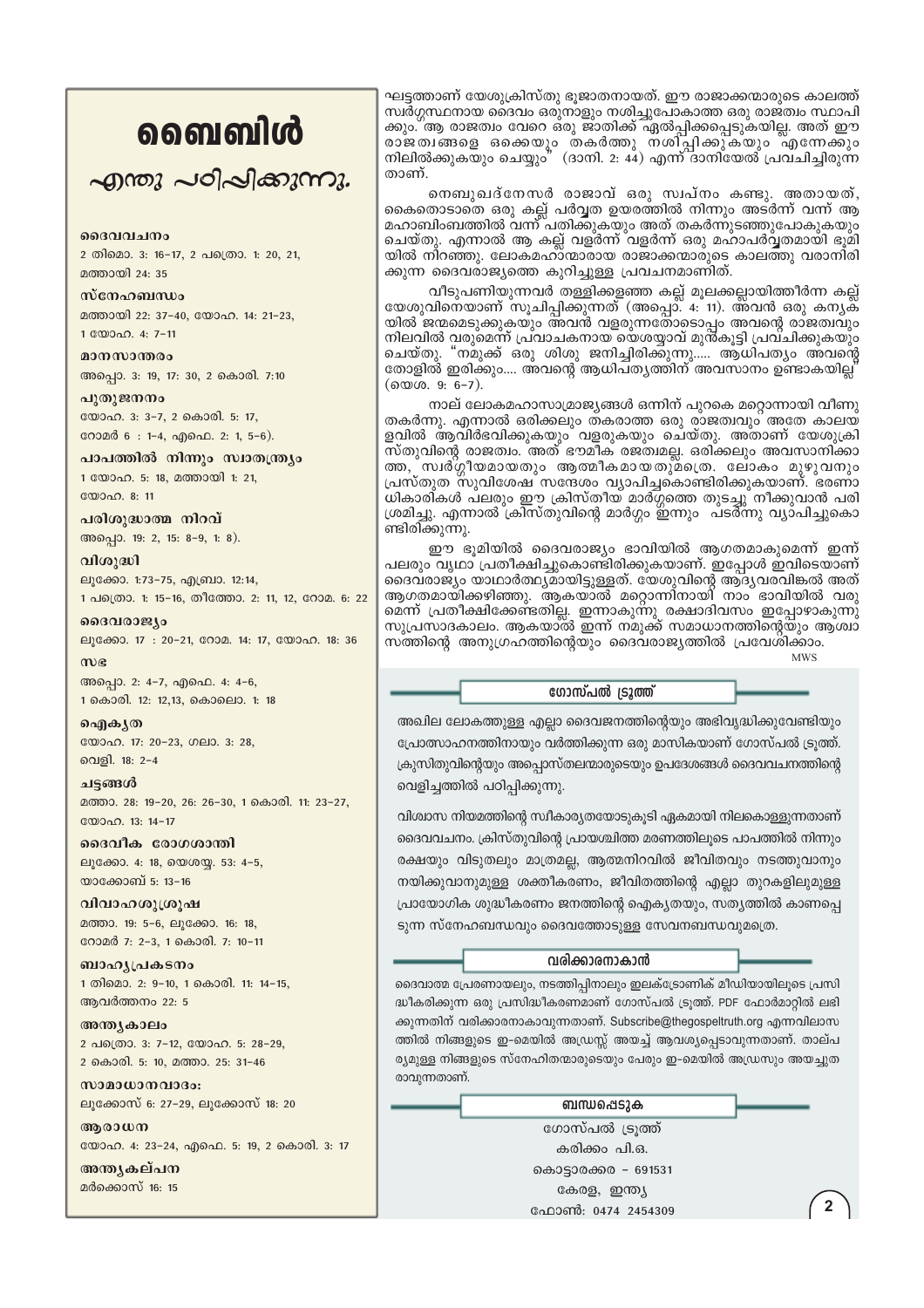## வைவிൾ

എന്തു പഠിപ്പിക്കുന്നു.

### മദേവവചനം

2 തിമൊ. 3: 16-17, 2 പത്രൊ. 1: 20, 21, മത്തായി 24: 35

### സ്നേഹബന്ധം

മത്തായി 22: 37-40, യോഹ. 14: 21-23, 1 00000. 4: 7-11

മാനസാന്തരം അപ്പൊ. 3: 19, 17: 30, 2 കൊരി. 7:10

പുതുജനനം യോഹ. 3: 3-7, 2 കൊരി. 5: 17, റോമർ 6: 1-4, എഫെ. 2: 1, 5-6).

പാപത്തിൽ നിന്നും സ്വാതന്ത്രശ 1 യോഹ. 5: 18, മത്തായി 1: 21,  $2000000811$ 

പരിശുദ്ധാത്മ നിറവ് അപ്പൊ. 19: 2, 15: 8-9, 1: 8).

വിശുദ്ധി ലൂക്കോ. 1:73-75, എബ്രാ. 12:14, 1 പത്രൊ. 1: 15-16, തീത്തോ. 2: 11, 12, റോമ. 6: 22

ദൈവരാജ്യം ലൂക്കോ. 17: 20-21, റോമ. 14: 17, യോഹ. 18: 36

 $m$ e അപ്പൊ. 2: 4-7, എഫെ. 4: 4-6, 1 കൊരി. 12: 12,13, കൊലൊ. 1: 18

ഐകൃത യോഹ. 17: 20-23, ഗലാ. 3: 28, വെളി. 18: 2-4

ചട്ടങ്ങൾ മത്താ. 28: 19-20, 26: 26-30, 1 കൊരി. 11: 23-27, യോഹ. 13: 14-17

ദൈവീക രോഗശാന്തി ലൂക്കോ. 4: 18, യെശയ്യ. 53: 4-5, യാക്കോബ് 5: 13-16

വിവാഹശുശ്രൂഷ മത്താ. 19: 5-6, ലൂക്കോ. 16: 18, റോമർ 7: 2-3, 1 കൊരി. 7: 10-11

ബാഹ്യപ്രകടനം 1 തിമൊ. 2: 9-10, 1 കൊരി. 11: 14-15, ആവർത്തനം 22: 5

അന്ത്യകാലം 2 പത്രൊ. 3: 7-12, യോഹ. 5: 28-29, 2 കൊരി. 5: 10, മത്താ. 25: 31-46

സാമാധാനവാദം: ലൂക്കോസ് 6: 27-29, ലൂക്കോസ് 18: 20

ആരാധന യോഹ. 4: 23-24, എഫെ. 5: 19, 2 കൊരി. 3: 17

അനുകല്പന മർക്കൊസ് 16: 15

ഘട്ടത്താണ് യേശുക്രിസ്തു ഭുജാതനായത്. ഈ രാജാക്കന്മാരുടെ കാലത്ത് സ്ഥർഗ്ഗസ്ഥനായ ദൈവം ഒരുനാളും നശിച്ചുപോകാത്ത ഒരു രാജത്വം സ്ഥാപി ക്കും. ആ രാജത്വം വേറെ ഒരു ജാതിക്ക് ഏൽപ്പിക്കപ്പെടുകയില്ല. അത് ഈ രാജതിങ്ങളെ ഒക്കെയും തകർത്തു നശിപ്പിക്കുക്യും എന്നേക്കും നിലിൽക്കുകയും ചെയ്യും" (ദാനി. 2: 44) എന്ന് ദാനിയേൽ പ്രവ്ചിച്ചിരുന്ന താണ്.

നെബുഖദ്നേസർ രാജാവ് ഒരു സ്വപ്നം കണ്ടു. അതായത്, കൈതൊടാതെ ഒരു കല്ല് പർവ്വത ഉയരത്തിൽ നിന്നും അടർന്ന് വന്ന് ആ മഹാബിംബത്തിൽ വന്ന് പതിക്കുകയും അത് തകർന്നുടഞ്ഞുപോകുകയും ചെയ്തു. എന്നാൽ ആ കല്ല് വളർന്ന് വളർന്ന് ഒരു മഹാപർവ്വതമായി ഭൂമി യിൽ നിറഞ്ഞു. ലോകമഹാ്ന്മാരായ രാജാക്കന്മാരുടെ കാലത്തു വരാനിരി ക്കുന്ന ദൈവരാജ്യത്തെ കുറിച്ചുള്ള പ്രവചനമാണിത്.

വീടുപണിയുന്നവർ തള്ളിക്കളഞ്ഞ കല്ല് മൂലക്കല്ലായിത്തീർന്ന കല്ല് യേശുവിനെയാണ് സൂചിപ്പിക്കുന്നത് (അപ്പൊ്. 4: ั11). അ്വൻ ഒരു കന്യക് യിൽ ജന്മമെടുക്കുകയും അവൻ വളരുന്നതോടൊപ്പം അവന്റെ രാജത്വവും<br>നിലവിൽ വരുമെന്ന് പ്രവാചകനായ യെശയ്യാവ് മുൻകൂട്ടി പ്രവചിക്കുകയും ചെയ്തു. "നമുക്ക് ഒരു ശിശു ജനിച്ചിരിക്കുന്നു..... ആ്ധിപത്യം അവന്റെ തോളിൽ ഇരിക്കും.... അവന്റെ ആധിപത്യത്തിന് അവസാനം ഉണ്ടാകയില്ല' (യെശ. 9: 6-7).

നാല് ലോകമഹാസാമ്രാജ്യങ്ങൾ ഒന്നിന് പുറകെ മറ്റൊന്നായി വീണു തകർന്നു. എന്നാൽ ഒരിക്കലും തകരാത്ത ഒരു രാജത്വവും അതേ കാലയ ളവിൽ ആവിർഭവിക്കുകയും ്വളരുകയും ചെയ്തു. അതാണ് യേശുക്രി<br>സ്തുവിന്റെ രാജത്വം. അത് ഭൗമീക രജത്വമല്ല. ഒരിക്കലും അവസാനിക്കാ ത്ത,്സ്വര്ഗ്ഗീയമായതും ആത്മീകമായതുമ്പ്രെ. ലോകം മുഴുവനും പ്രസ്തുത സുവിശേഷ സന്ദേശം വ്യാപിച്ചകൊണ്ടിരിക്കുകയാണ്. ഭരണാ ധികാരികൾ പലരും ഈ ക്രിസ്തീയ് മാർഗ്ഗത്തെ തുടച്ചു് നീക്കുവാൻ പരി ശ്രമിച്ചു. എന്നാൽ ക്രിസ്തുവിന്റെ മാർഗ്ഗം ഇന്നും പടർന്നു വ്യാപിച്ചുകൊ ണ്ടിരിക്കുന്നു.

ഈ ഭൂമിയിൽ ദൈവരാജ്യം ഭാവിയിൽ ആഗതമാകുമെന്ന് ഇന്ന് പലരും വൃഥാ പ്രതീക്ഷിച്ചുകൊണ്ടിരിക്കുകയാണ്. ഇപ്പോൾ ഇവിടെയാണ് ദൈവരാജ്യം യാഥാർത്ഥൃമായിട്ടുള്ളത്. ഭ്യശുവിന്റെ ആദൃവരവിങ്കൽ അത് ആഗതമായിക്കഴിഞ്ഞു. ആകയാൽ മറ്റൊന്നിനായി നാം ഭാവിയിൽ വരു മെന്ന് പ്രതീക്ഷിക്കേണ്ടതില്ല. ഇന്നാകുന്നു രക്ഷാദിവസം ഇപ്പോഴാകുന്നു സുപ്രസാദകാലം. ആകയാൽ ഇന്ന് നമുക്ക് സമാധാനത്തിന്റെയും ആശ്വാ സത്തിന്റെ അനുഗ്രഹത്തിന്റെയും ദൈവരാജ്യത്തിൽ പ്രവേശിക്കാം. **MWS** 

#### ഗോസ്പൽ ട്രൂത്ത്

അഖില ലോകത്തുള്ള എല്ലാ ദൈവജനത്തിന്റെയും അഭിവൃദ്ധിക്കുവേണ്ടിയും പ്രോത്സാഹനത്തിനായും വർത്തിക്കുന്ന ഒരു മാസികയാണ് ഗോസ്പൽ ട്രൂത്ത്. ക്രുസിതുവിന്റെയും അപ്പൊസ്തലന്മാരുടെയും ഉപദേശങ്ങൾ ദൈവവചനത്തിന്റെ വെളിച്ചത്തിൽ പഠിപ്പിക്കുന്നു.

വിശ്വാസ നിയമത്തിന്റെ സ്ഥീകാര്യതയോടുകൂടി ഏകമായി നിലകൊള്ളുന്നതാണ് ദൈവവചനം. ക്രിസ്തുവിന്റെ പ്രായശ്ചിത്ത മരണത്തിലൂടെ പാപത്തിൽ നിന്നും രക്ഷയും വിടുതലും മാത്രമല്ല, ആത്മനിറവിൽ ജീവിതവും നടത്തുവാനും നയിക്കുവാനുമുള്ള ശക്തീകരണം, ജീവിതത്തിന്റെ എല്ലാ തുറകളിലുമുള്ള പ്രായോഗിക ശുദ്ധീകരണം ജനത്തിന്റെ ഐക്യതയും, സത്യത്തിൽ കാണപ്പെ ടുന്ന സ്നേഹബന്ധവും ദൈവത്തോടുള്ള സേവനബന്ധവുമത്രെ.

## വരിക്കാരനാകാൻ

ദൈവാത്മ പ്രേരണായലും, നടത്തിപ്പിനാലും ഇലക്ട്രോണിക് മീഡിയായിലൂടെ പ്രസി ദ്ധീകരിക്കുന്ന ഒരു പ്രസിദ്ധീകരണമാണ് ഗോസ്പൽ ട്രൂത്ത്. PDF ഫോർമാറ്റിൽ ലഭി ക്കുന്നതിന് വരിക്കാരനാകാവുന്നതാണ്. Subscribe@thegospeltruth.org എന്നവിലാസ ത്തിൽ നിങ്ങളുടെ ഇ-മെയിൽ അഡ്രസ്സ് അയച്ച് ആവശ്യപ്പെടാവുന്നതാണ്. താല്പ ര്യമുള്ള നിങ്ങളുടെ സ്നേഹിതന്മാരുടെയും പേരും ഇ-മെയിൽ അഡ്രസും അയച്ചുത രാവുന്നതാണ്.

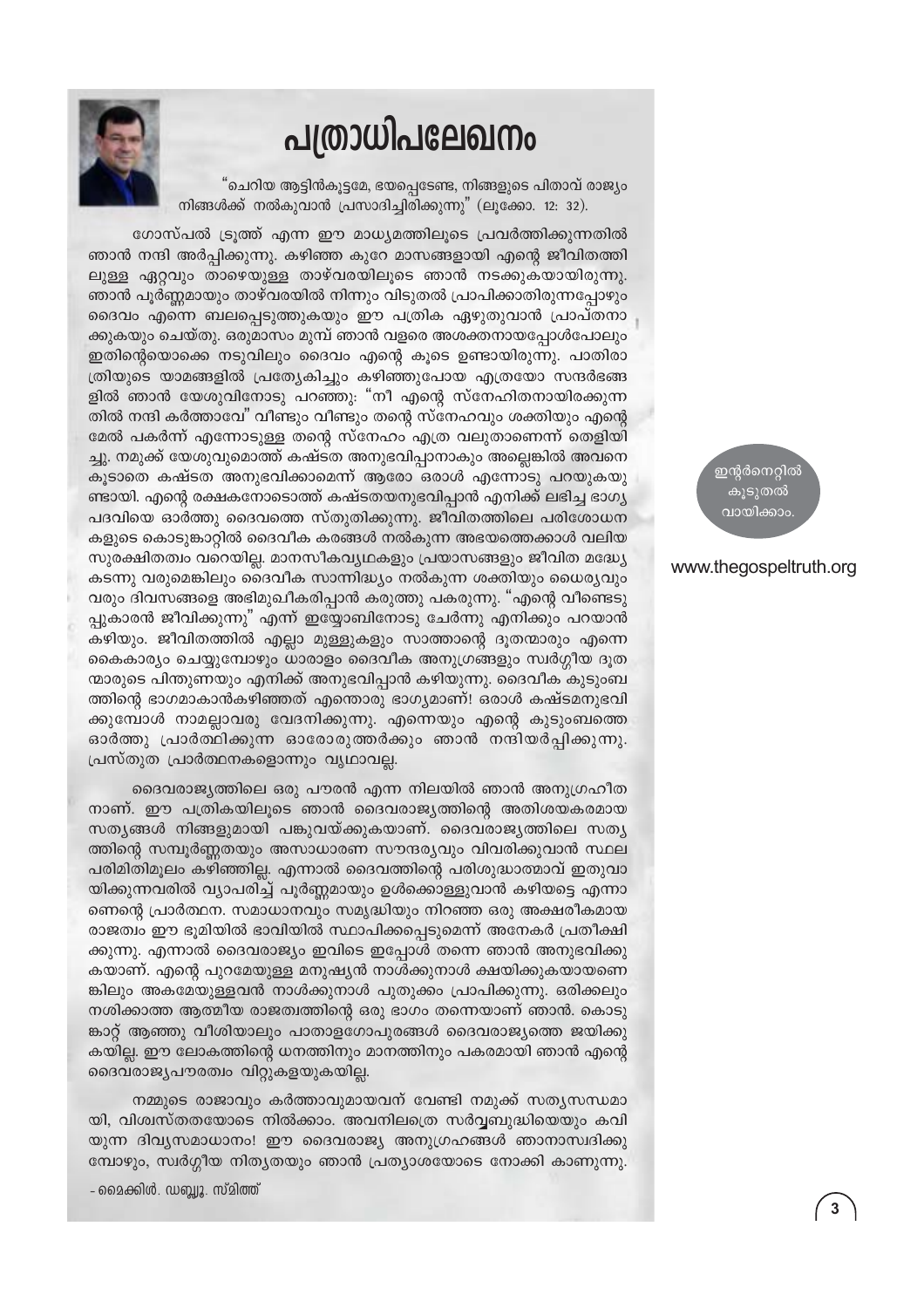## പത്രാധിപലേഖനം

"ചെറിയ ആട്ടിൻകൂട്ടമേ, ഭയപ്പെടേണ്ട, നിങ്ങളുടെ പിതാവ് രാജ്യം നിങ്ങൾക്ക് നൽകുവാൻ പ്രസാദിച്ചിരിക്കുന്നു" (ലൂക്കോ. 12: 32).



ഗോസ്പൽ ട്രുത്ത് എന്ന ഈ മാധ്യമത്തിലൂടെ പ്രവർത്തിക്കുന്നതിൽ ഞാൻ നന്ദി അർപ്പിക്കുന്നു. കഴിഞ്ഞ കുറേ മാസങ്ങളായി എന്റെ ജീവിതത്തി ലുള്ള ഏറ്റവും താഴെയുള്ള താഴ്വരയിലൂടെ ഞാൻ നടക്കുകയായിരുന്നു. ഞാൻ പൂർണ്ണമായും താഴ്വരയിൽ നിന്നും വിടുതൽ പ്രാപിക്കാതിരുന്നപ്പോഴും ദൈവം എന്നെ ബലപ്പെടുത്തുകയും ഈ പത്രിക ഏഴുതുവാൻ പ്രാപ്തനാ ക്കുകയും ചെയ്തു. ഒരുമാസം മുമ്പ് ഞാൻ വളരെ അശക്തനായപ്പോൾപോലും ഇതിന്റെയൊക്കെ നടുവിലും ദൈവം എന്റെ കൂടെ ഉണ്ടായിരുന്നു. പാതിരാ ത്രിയുടെ യാമങ്ങളിൽ പ്രത്യേകിച്ചും കഴിഞ്ഞുപോയ എത്രയോ സന്ദർഭങ്ങ ളിൽ ഞാൻ യേശുവിനോടു പറഞ്ഞു: "നീ എന്റെ സ്നേഹിതനായിരക്കുന്ന തിൽ നന്ദി കർത്താവേ" വീണ്ടും വീണ്ടും തന്റെ സ്നേഹവും ശക്തിയും എന്റെ മേൽ പകർന്ന് എന്നോടുള്ള തന്റെ സ്നേഹം എത്ര വലുതാണെന്ന് തെളിയി ച്ചു. നമുക്ക് യേശുവുമൊത്ത് കഷ്ടത അനുഭവിപ്പാനാകും അല്ലെങ്കിൽ അവനെ കൂടാതെ കഷ്ടത അനുഭവിക്കാമെന്ന് ആരോ ഒരാൾ എന്നോടു പറയുകയു ണ്ടായി. എന്റെ രക്ഷകനോടൊത്ത് കഷ്ടതയനുഭവിപ്പാൻ എനിക്ക് ലഭിച്ച ഭാഗ്യ പദവിയെ ഓർത്തു ദൈവത്തെ സ്തുതിക്കുന്നു. ജീവിതത്തിലെ പരിശോധന കളുടെ കൊടുങ്കാറ്റിൽ ദൈവീക കരങ്ങൾ നൽകുന്ന അഭയത്തെക്കാൾ വലിയ സുരക്ഷിതത്വം വറെയില്ല. മാനസീകവ്യഥകളും പ്രയാസങ്ങളും ജീവിത മദ്ധ്യേ കടന്നു വരുമെങ്കിലും ദൈവീക സാന്നിദ്ധ്യം നൽകുന്ന ശക്തിയും ധൈര്യവും വരും ദിവസങ്ങളെ അഭിമുഖീകരിപ്പാൻ കരുത്തു പകരുന്നു. "എന്റെ വീണ്ടെടു പ്പുകാരൻ ജീവിക്കുന്നു" എന്ന് ഇയ്യോബിനോടു ചേർന്നു എനിക്കും പറയാൻ കഴിയും. ജീവിതത്തിൽ എല്ലാ മുള്ളുകളും സാത്താന്റെ ദൂതന്മാരും എന്നെ കൈകാര്യം ചെയ്യുമ്പോഴും ധാരാളം ദൈവീക അനുഗ്രങ്ങളും സ്വർഗ്ഗീയ ദൂത ന്മാരുടെ പിന്തുണയും എനിക്ക് അനുഭവിപ്പാൻ കഴിയുന്നു. ദൈവീക കുടുംബ ത്തിന്റെ ഭാഗമാകാൻകഴിഞ്ഞത് എന്തൊരു ഭാഗ്യമാണ്! ഒരാൾ കഷ്ടമനുഭവി ക്കുമ്പോൾ നാമല്ലാവരു വേദനിക്കുന്നു. എന്നെയും എന്റെ കുടുംബത്തെ ഓർത്തു പ്രാർത്ഥിക്കുന്ന ഓരോരുത്തർക്കും ഞാൻ നന്ദിയർപ്പിക്കുന്നു. പ്രസ്തുത പ്രാർത്ഥനകളൊന്നും വൃഥാവല്ല.

ദൈവരാജ്യത്തിലെ ഒരു പൗരൻ എന്ന നിലയിൽ ഞാൻ അനുഗ്രഹീത നാണ്. ഈ പത്രികയിലൂടെ ഞാൻ ദൈവരാജ്യത്തിന്റെ അതിശയകരമായ സതൃങ്ങൾ നിങ്ങളുമായി പങ്കുവയ്ക്കുകയാണ്. ദൈവരാജ്യത്തിലെ സത്യ ത്തിന്റെ സമ്പൂർണ്ണതയും അസാധാരണ സൗന്ദര്യവും വിവരിക്കുവാൻ സ്ഥല പരിമിതിമൂലം കഴിഞ്ഞില്ല. എന്നാൽ ദൈവത്തിന്റെ പരിശുദ്ധാത്മാവ് ഇതുവാ യിക്കുന്നവരിൽ വ്യാപരിച്ച് പൂർണ്ണമായും ഉൾക്കൊള്ളുവാൻ കഴിയട്ടെ എന്നാ ണെന്റെ പ്രാർത്ഥന. സമാധാനവും സമൃദ്ധിയും നിറഞ്ഞ ഒരു അക്ഷരീകമായ രാജത്വം ഈ ഭൂമിയിൽ ഭാവിയിൽ സ്ഥാപിക്കപ്പെടുമെന്ന് അനേകർ പ്രതീക്ഷി ക്കുന്നു. എന്നാൽ ദൈവരാജ്യം ഇവിടെ ഇപ്പോൾ തന്നെ ഞാൻ അനുഭവിക്കു കയാണ്. എന്റെ പുറമേയുള്ള മനുഷ്യൻ നാൾക്കുനാൾ ക്ഷയിക്കുകയായണെ ങ്കിലും അകമേയുള്ളവൻ നാൾക്കുനാൾ പുതുക്കം പ്രാപിക്കുന്നു. ഒരിക്കലും നശിക്കാത്ത ആത്മീയ രാജത്വത്തിന്റെ ഒരു ഭാഗം തന്നെയാണ് ഞാൻ. കൊടു ങ്കാറ്റ് ആഞ്ഞു വീശിയാലും പാതാളഗോപുരങ്ങൾ ദൈവരാജ്യത്തെ ജയിക്കു കയില്ല. ഈ ലോകത്തിന്റെ ധനത്തിനും മാനത്തിനും പകരമായി ഞാൻ എന്റെ ദൈവരാജ്യപൗരത്വം വിറ്റുകളയുകയില്ല.

നമ്മുടെ രാജാവും കർത്താവുമായവന് വേണ്ടി നമുക്ക് സതൃസന്ധമാ യി, വിശ്വസ്തതയോടെ നിൽക്കാം. അവനിലത്രെ സർവ്വബുദ്ധിയെയും കവി യുന്ന ദിവൃസമാധാനം! ഈ ദൈവരാജ്യ അനുഗ്രഹങ്ങൾ ഞാനാസ്വദിക്കു മ്പോഴും, സ്വർഗ്ഗീയ നിതൃതയും ഞാൻ പ്രത്യാശയോടെ നോക്കി കാണുന്നു.

- മൈക്കിൾ. ഡബ്ലൂ. സ്മിത്ത്

ഇന്റർനെറ്റിൽ കുടുതൽ വായിക്കാം

## www.thegospeltruth.org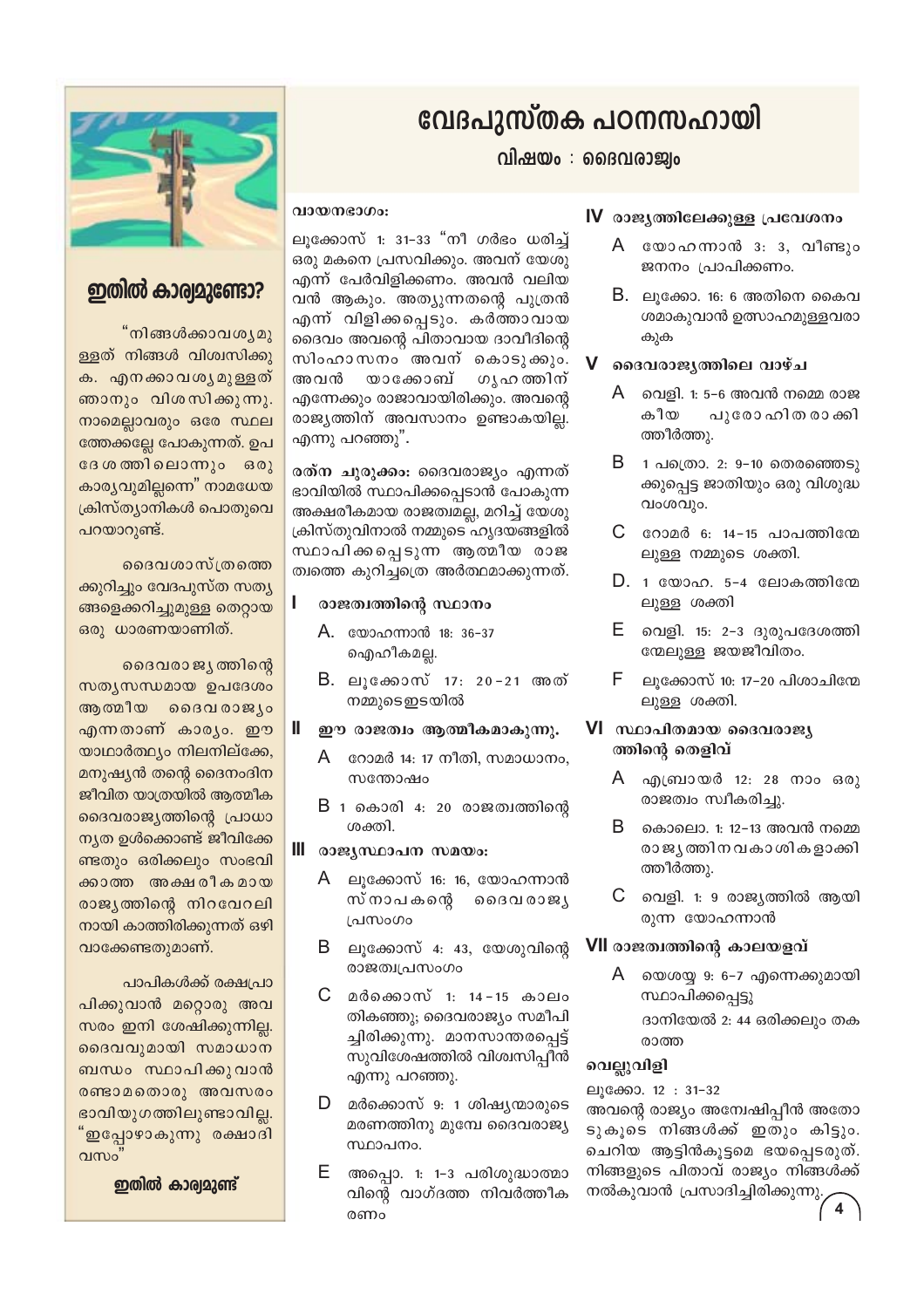## വേദപുസ്തക പഠനസഹായി

വിഷയം : ദൈവരാജ്വം

## വായനഭാഗം:

ലുക്കോസ് 1: 31–33 "നീ ഗർഭം ധരിച്ച് ഒരു മകനെ പ്രസവിക്കും. അവന് യേശു എന്ന് പേർവിളിക്കണം. അവൻ വലിയ വൻ ആകും. അത്യുന്നതന്റെ പുത്രൻ എന്ന് വിളിക്കപ്പെടും. കർത്താവായ ദൈവം അവന്റെ പിതാവായ ദാവീദിന്റെ സിംഹാസനം അവന് കൊടുക്കും. യാക്കോബ് അവൻ ഗൃഹ ത്തിന് എന്നേക്കും രാജാവായിരിക്കും. അവന്റെ രാജ്യത്തിന് അവസാനം ഉണ്ടാകയില്ല. എന്നു പറഞ്ഞു".

രത്ന ചുരുക്കം: ദൈവരാജ്യം എന്നത് ഭാവിയിൽ സ്ഥാപിക്കപ്പെടാൻ പോകുന്ന അക്ഷരീകമായ രാജത്വമല്ല, മറിച്ച് യേശു ക്രിസ്തുവിനാൽ നമ്മുടെ ഹൃദയങ്ങളിൽ സ്ഥാപിക്കപ്പെടുന്ന ആത്മീയ രാജ ത്വത്തെ കൂറിച്ചത്രെ അർത്ഥമാക്കുന്നത്.

#### L രാജത്വത്തിന്റെ സ്ഥാനം

- A. യോഹന്നാൻ 18: 36-37 ഐഹീകമല്ല.
- B. ലൂക്കോസ് 17: 20−21 അത് നമ്മുടെഇടയിൽ
- Ш. ഈ രാജത്വം ആത്മീകമാകുന്നു.
	- $A$  ഭറാമർ 14: 17 നീതി. സമാധാനം. സന്തോഷപ
	- $B$  1 കൊരി 4: 20 രാജത്വത്തിന്റെ ശക്തി.
- III രാജ്യസ്ഥാപന സമയം:
	- A ലൂക്കോസ് 16: 16, യോഹന്നാൻ സ്നാപകന്റെ ദൈവ രാജ്യ പ്രസംഗം
	- $B$  ലൂക്കോസ് 4: 43, യേശുവിന്റെ രാജത്വപ്രസംഗം
	- C മർക്കൊസ് 1: 14-15 കാലം തികഞ്ഞു; ദൈവരാജ്യം സമീപി ച്ചിരിക്കുന്നു. മാനസാന്തരപ്പെട്ട് സുവിശേഷത്തിൽ വിശ്വസിപ്പീൻ എന്നു പറഞ്ഞു.
	- $\mathsf D$  മർക്കൊസ് 9: 1 ശിഷ്യന്മാരുടെ മരണത്തിനു മുമ്പേ ദൈവരാജ്യ സ്ഥാപനം.
	- E അപ്പൊ. 1: 1-3 പരിശുദ്ധാത്മാ വിന്റെ വാഗ്ദത്ത നിവർത്തീക രണം

## IV രാജ്യത്തിലേക്കുള്ള പ്രവേശനം

- A യോഹന്നാൻ 3: 3, വീണ്ടും ജനനം പ്രാപിക്കണം.
- $B.$  ലൂക്കോ. 16: 6 അതിനെ കൈവ ശമാകുവാൻ ഉത്സാഹമുള്ളവരാ കുക

#### $\mathbf V$ ദൈവരാജ്യത്തിലെ വാഴ്ച

- വെളി. 1: 5-6 അവൻ നമ്മെ രാജ A കീയ പുരോ ഹിത രാക്കി ത്തീർത്തു.
- B 1 പത്രൊ. 2: 9-10 തെരഞ്ഞെടു ക്കുപ്പെട്ട ജാതിയും ഒരു വിശുദ്ധ വംശവും.
- $C$  റോമർ 6: 14-15 പാപത്തിന്മേ ലുള്ള നമ്മുടെ ശക്തി.
- D. 1 യോഹ. 5-4 ലോകത്തിനേ ലുള്ള ശക്തി
- E. വെളി. 15: 2-3 ദുരുപദേശത്തി ന്മേലുള്ള ജയജീവിതം.
- ലൂക്കോസ് 10: 17-20 പിശാചിന്മേ F ലുള്ള ശക്തി.

## VI സ്ഥാപിതമായ ദൈവരാജ്യ ത്തിന്റെ തെളിവ്

- A എബ്രായർ 12: 28 നാം ഒരു രാജത്വം സ്വീകരിച്ചു.
- B. കൊലൊ. 1: 12-13 അവൻ നമ്മെ രാജ്യത്തിനവകാശികളാക്കി ത്തീർത്തു.
- С വെളി. 1: 9 രാജ്യത്തിൽ ആയി രുന്ന യോഹന്നാൻ

## VII രാജത്വത്തിന്റെ കാലയളവ്

A യെശയ്യ 9: 6–7 എന്നെക്കുമായി സ്ഥാപിക്കപ്പെട്ടു ദാനിയേൽ 2: 44 ഒരിക്കലും തക രാത്ത

## വെല്ലുവിളി

ലുക്കോ. 12: 31-32 അവന്റെ രാജ്യം അന്വേഷിപ്പീൻ അതോ ടുകൂടെ നിങ്ങൾക്ക് ഇതും കിട്ടും. ചെറിയ ആട്ടിൻകുട്ടമെ ഭയപ്പെടരുത്. നിങ്ങളുടെ പിതാവ് രാജ്യം നിങ്ങൾക്ക് നൽകുവാൻ പ്രസാദിച്ചിരിക്കുന്നു.



## ഇതിൽ കാര്വമുണ്ടോ?

"നിങ്ങൾക്കാവശ്യമു ള്ളത് നിങ്ങൾ വിശ്വസിക്കു ക. എനക്കാവശൃമുള്ളത് ഞാനും വിശസിക്കുന്നു. നാമെല്ലാവരും ഒരേ സ്ഥല ത്തേക്കല്ലേ പോകുന്നത്. ഉപ ദേശത്തിലൊന്നും ഒരു കാര്യവുമില്ലന്നെ" നാമധേയ ക്രിസ്ത്യാനികൾ പൊതുവെ പറയാറുണ്ട്.

ദൈവശാസ്ത്രത്ത<u>െ</u> ക്കുറിച്ചും വേദപുസ്ത സത്യ ങ്ങളെക്കറിച്ചുമുള്ള തെറ്റായ ഒരു ധാരണയാണിത്.

ദൈവരാജ്യത്തിന്റെ സത്യസന്ധമായ ഉപദേശം ആത്മീയ ദൈവരാജ്യം എന്നതാണ് കാര്യം. ഈ യാഥാർത്ഥ്യം നിലനില്ക്കേ, മനുഷ്യൻ തന്റെ ദൈനംദിന ജീവിത യാത്രയിൽ ആത്മീക ദൈവരാജ്യത്തിന്റെ പ്രാധാ ന്യത ഉൾക്കൊണ്ട് ജീവിക്കേ ണ്ടതും ഒരിക്കലും സംഭവി ക്കാത്ത അക്ഷരീകമായ രാജ്യത്തിന്റെ നിറവേറലി നായി കാത്തിരിക്കുന്നത് ഒഴി വാക്കേണ്ടതുമാണ്.

പാപികൾക്ക് രക്ഷപ്രാ പിക്കുവാൻ മറ്റൊരു അവ സരം ഇനി ശേഷിക്കുന്നില്ല. ദൈവവുമായി സമാധാന ബന്ധം സ്ഥാപിക്കുവാൻ രണ്ടാമതൊരു അവസരം ഭാവിയുഗത്തിലുണ്ടാവില്ല. "ഇപ്പോഴാകുന്നു രക്ഷാദി വസം

ഇതിൽ കാര്വമുണ്ട്

 $\sqrt{4}$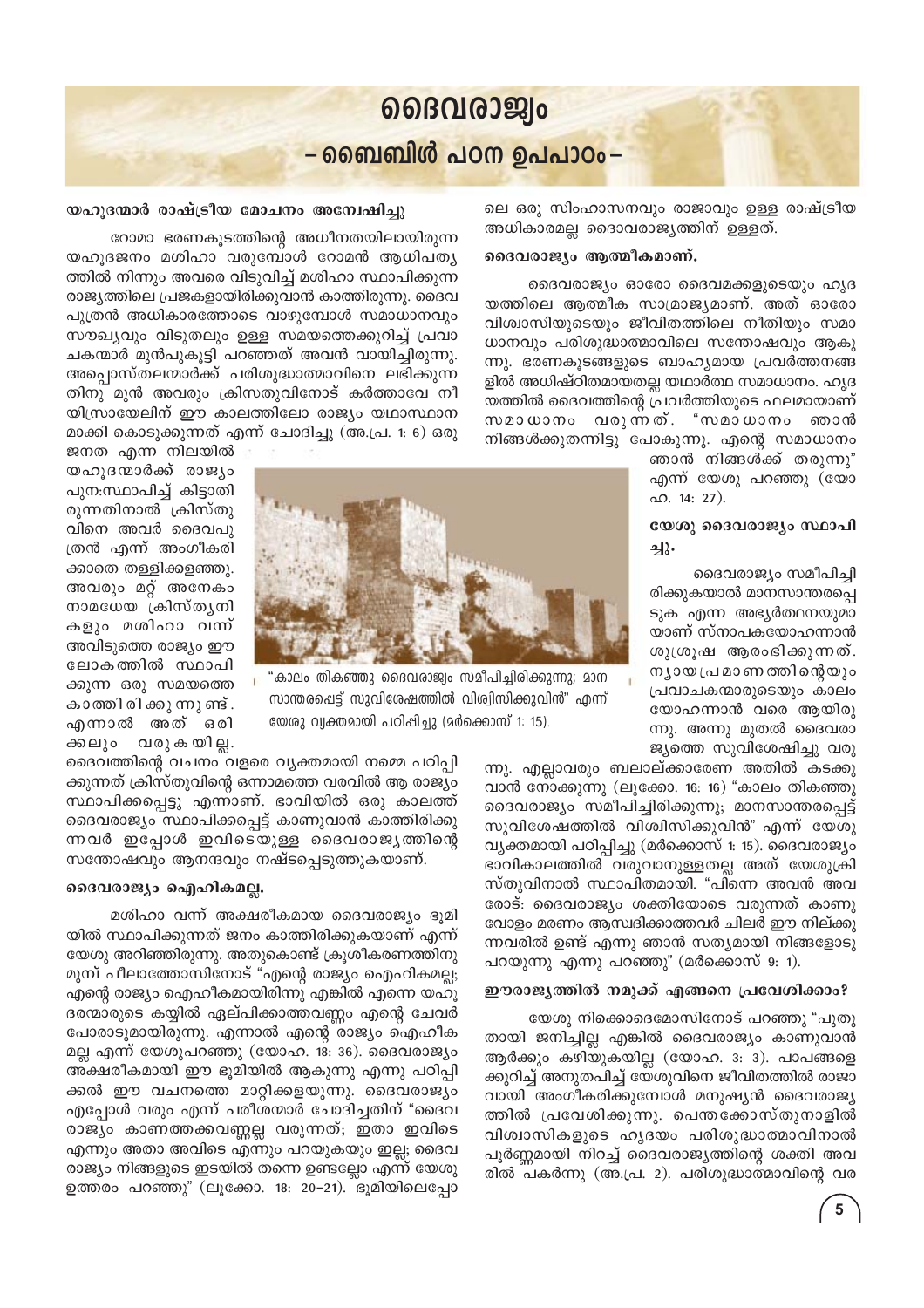## லைமெல்லு –ബൈബിൾ പഠന ഉപപാഠം–

ലെ ഒരു സിംഹാസനവും രാജാവും ഉള്ള രാഷ്ട്രീയ അധികാരമല്ല ദൈാവരാജ്യത്തിന് ഉള്ളത്.

### ദൈവരാജ്യം ആത്മീകമാണ്.

ദൈവരാജ്യം ഓരോ ദൈവമക്കളുടെയും ഹൃദ യത്തിലെ ആത്മീക സാമ്രാജ്യമാണ്. അത് ഓരോ വിശ്വാസിയുടെയും ജീവിതത്തിലെ നീതിയും സമാ ധാനവും പരിശുദ്ധാത്മാവിലെ സന്തോഷവും ആകു ന്നു. ഭരണകൂടങ്ങളുടെ ബാഹ്യമായ പ്രവർത്തനങ്ങ ളിൽ അധിഷ്ഠിതമായതല്ല യഥാർത്ഥ സമാധാനം. ഹൃദ യത്തിൽ ദൈവത്തിന്റെ പ്രവർത്തിയുടെ ഫലമായാണ് വരുന്നത്. "സമാധാനം ഞാൻ സമാധാനം നിങ്ങൾക്കുതന്നിട്ടു പോകുന്നു. എന്റെ സമാധാനം

ഞാൻ നിങ്ങൾക്ക് തരുന്നു" എന്ന് യേശു പറഞ്ഞു (യോ  $\Omega$ . 14: 27).

## യേശു ദൈവരാജ്യം സ്ഥാപി ച്ചു.

ദൈവരാജ്യം സമീപിച്ചി രിക്കുകയാൽ മാനസാന്തരപ്പെ ടുക എന്ന അഭ്യർത്ഥനയുമാ യാണ് സ്നാപകയോഹന്നാൻ ശുശ്രൂഷ ആരംഭിക്കുന്നത്. ന്യായ പ്രമാണത്തിന്റെയും പ്രവാചകന്മാരുടെയും കാലം യോഹന്നാൻ വരെ ആയിരു ന്നു. അന്നു മുതൽ ദൈവരാ ജ്യത്തെ സുവിശേഷിച്ചു വരു

ന്നു. എല്ലാവരും ബലാല്ക്കാരേണ അതിൽ കടക്കു വാൻ നോക്കുന്നു (ലൂക്കോ. 16: 16) "കാലം തികഞ്ഞു ദൈവരാജ്യം സമീപിച്ചിരിക്കുന്നു; മാനസാന്തരപ്പെട്ട് സുവിശേഷത്തിൽ വിശ്വിസിക്കുവിൻ" എന്ന് യേശു വ്യക്തമായി പഠിപ്പിച്ചു (മർക്കൊസ് 1: 15). ദൈവരാജ്യം ഭാവികാലത്തിൽ വരുവാനുള്ളതല്ല അത് യേശുക്രി സ്തുവിനാൽ സ്ഥാപിതമായി. "പിന്നെ അവൻ അവ രോട്: ദൈവരാജ്യം ശക്തിയോടെ വരുന്നത് കാണു വോളം മരണം ആസ്വദിക്കാത്തവർ ചിലർ ഈ നില്ക്കു ന്നവരിൽ ഉണ്ട് എന്നു ഞാൻ സത്യമായി നിങ്ങളോടു പറയുന്നു എന്നു പറഞ്ഞു" (മർക്കൊസ് 9: 1).

### ഈരാജ്യത്തിൽ നമുക്ക് എങ്ങനെ പ്രവേശിക്കാം?

യേശു നിക്കൊദെമോസിനോട് പറഞ്ഞു "പുതു തായി ജനിച്ചില്ല എങ്കിൽ ദൈവരാജ്യം കാണുവാൻ ആർക്കും കഴിയുകയില്ല (യോഹ. 3: 3). പാപങ്ങളെ ക്കുറിച്ച് അനുതപിച്ച് യേശുവിനെ ജീവിതത്തിൽ രാജാ വായി അംഗീകരിക്കുമ്പോൾ മനുഷ്യൻ ദൈവരാജ്യ ത്തിൽ പ്രവേശിക്കുന്നു. പെന്തക്കോസ്തുനാളിൽ വിശ്വാസികളുടെ ഹൃദയം പരിശുദ്ധാത്മാവിനാൽ പൂർണ്ണമായി നിറച്ച് ദൈവരാജ്യത്തിന്റെ ശക്തി അവ രിൽ പകർന്നു (അ.പ്ര. 2). പരിശുദ്ധാത്മാവിന്റെ വര

## യഹുദന്മാർ രാഷ്ട്രീയ മോചനം അന്വേഷിച്ചു

റോമാ ഭരണകൂടത്തിന്റെ അധീനതയിലായിരുന്ന യഹുദജനം മശിഹാ വരുമ്പോൾ റോമൻ ആധിപത്യ ത്തിൽ നിന്നും അവരെ വിടുവിച്ച് മശിഹാ സ്ഥാപിക്കുന്ന രാജ്യത്തിലെ പ്രജകളായിരിക്കുവാൻ കാത്തിരുന്നു. ദൈവ പൂത്രൻ അധികാരത്തോടെ വാഴുമ്പോൾ സമാധാനവും സൗഖ്യവും വിടുതലും ഉള്ള സമയത്തെക്കുറിച്ച് പ്രവാ ചകന്മാർ മുൻപുകൂട്ടി പറഞ്ഞത് അവൻ വായിച്ചിരുന്നു. അപ്പൊസ്തലന്മാർക്ക് പരിശുദ്ധാത്മാവിനെ ലഭിക്കുന്ന തിനു മുൻ അവരും ക്രിസതുവിനോട് കർത്താവേ നീ യിസ്രായേലിന് ഈ കാലത്തിലോ രാജ്യം യഥാസ്ഥാന മാക്കി കൊടുക്കുന്നത് എന്ന് ചോദിച്ചു (അ.പ്ര. 1: 6) ഒരു

ജനത എന്ന നിലയിൽ യഹൂദന്മാർക്ക് രാജ്യം പുന:സ്ഥാപിച്ച് കിട്ടാതി രുന്നതിനാൽ ക്രിസ്തു വിനെ അവർ ദൈവപു ത്രൻ എന്ന് അംഗീകരി ക്കാതെ തള്ളിക്കളഞ്ഞു. അവരും മറ്റ് അനേകം നാമധേയ ക്രിസ്തൃനി കളും മശിഹാ വന്ന് അവിടുത്തെ രാജ്യം ഈ ലോകത്തിൽ സ്ഥാപി ക്കുന്ന ഒരു സമയത്തെ കാത്തി രി ക്കു ന്നു ണ്ട് . എന്നാൽ അത് ഒരി ക്കലും വരു കയില്ല.

ദൈവത്തിന്റെ വചനം വളരെ വ്യക്തമായി നമ്മെ പഠിപ്പി ക്കുന്നത് ക്രിസ്തുവിന്റെ ഒന്നാമത്തെ വരവിൽ ആ രാജ്യം സ്ഥാപിക്കപ്പെട്ടു എന്നാണ്. ഭാവിയിൽ ഒരു കാലത്ത് ദൈവരാജ്യം സ്ഥാപിക്കപ്പെട്ട് കാണുവാൻ കാത്തിരിക്കു ന്നവർ ഇപ്പോൾ ഇവിടെയുള്ള ദൈവരാജ്യത്തിന്റെ സന്തോഷവും ആനന്ദവും നഷ്ടപ്പെടുത്തുകയാണ്.

### ദൈവരാജ്യം ഐഹികമല്ല.

മശിഹാ വന്ന് അക്ഷരീകമായ ദൈവരാജ്യം ഭൂമി യിൽ സ്ഥാപിക്കുന്നത് ജനം കാത്തിരിക്കുകയാണ് എന്ന് യേശു അറിഞ്ഞിരുന്നു. അതുകൊണ്ട് ക്രൂശീകരണത്തിനു മുമ്പ് പീലാത്തോസിനോട് "എന്റെ രാജ്യം ഐഹികമല്ല; എന്റെ രാജ്യം ഐഹീകമായിരിന്നു എങ്കിൽ എന്നെ യഹൂ ദരന്മാരുടെ കയ്യിൽ ഏല്പിക്കാത്തവണ്ണം എന്റെ ചേവർ പോരാടുമായിരുന്നു. എന്നാൽ എന്റെ രാജ്യം ഐഹീക മല്ല എന്ന് യേശുപറഞ്ഞു (യോഹ. 18: 36). ദൈവരാജ്യം അക്ഷരീകമായി ഈ ഭൂമിയിൽ ആകുന്നു എന്നു പഠിപ്പി ക്കൽ ഈ വചനത്തെ മാറ്റിക്കളയുന്നു. ദൈവരാജ്യം എപ്പോൾ വരും എന്ന് പരീശന്മാർ ചോദിച്ചതിന് "ദൈവ രാജ്യം കാണത്തക്കവണ്ണല്ല വരുന്നത്; ഇതാ ഇവിടെ എന്നും അതാ അവിടെ എന്നും പറയുകയും ഇല്ല; ദൈവ രാജ്യം നിങ്ങളുടെ ഇടയിൽ തന്നെ ഉണ്ടല്ലോ എന്ന് യേശു ഉത്തരം പറഞ്ഞു" (ലൂക്കോ. 18: 20-21). ഭൂമിയിലെപ്പോ



സാന്തരപ്പെട്ട് സുവിശേഷത്തിൽ വിശ്വിസിക്കുവിൻ" എന്ന്

യേശു വ്യക്തമായി പഠിപ്പിച്ചു (മർക്കൊസ് 1: 15).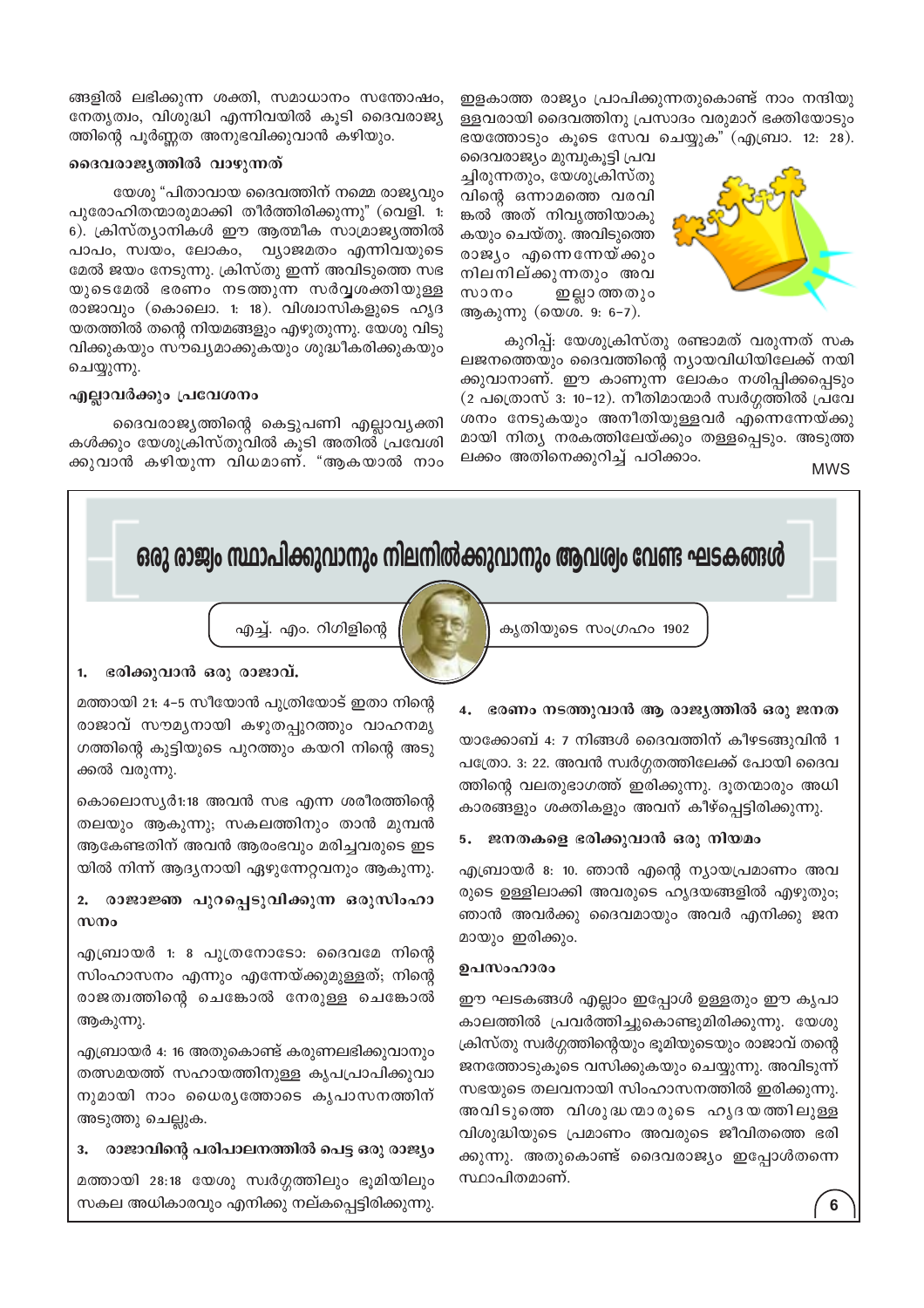ങ്ങളിൽ ലഭിക്കുന്ന ശക്തി, സമാധാനം സന്തോഷം, നേതൃത്വം, വിശുദ്ധി എന്നിവയിൽ കുടി ദൈവരാജ്യ ത്തിന്റെ പൂർണ്ണത അനുഭവിക്കുവാൻ കഴിയും.

## ദൈവരാജ്യത്തിൽ വാഴുന്നത്

യേശു "പിതാവായ ദൈവത്തിന് നമ്മെ രാജ്യവും പുരോഹിതന്മാരുമാക്കി തീർത്തിരിക്കുന്നു" (വെളി. 1: 6). ക്രിസ്ത്യാനികൾ ഈ ആത്മീക സാമ്രാജ്യത്തിൽ പാപം, സ്വയം, ലോകം, വ്യാജമതം എന്നിവയുടെ മേൽ ജയം നേടുന്നു. ക്രിസ്തു ഇന്ന് അവിടുത്തെ സഭ യുടെമേൽ ഭരണം നടത്തുന്ന സർവ്വശക്തിയുള്ള രാജാവും (കൊലൊ. 1: 18). വിശ്വാസികളുടെ ഹൃദ യതത്തിൽ തന്റെ നിയമങ്ങളും എഴുതുന്നു. യേശു വിടു വിക്കുകയും സൗഖ്യമാക്കുകയും ശുദ്ധീകരിക്കുകയും ചെയ്യുന്നു.

## എല്ലാവർക്കും പ്രവേശനം

ദൈവരാജ്യത്തിന്റെ കെട്ടുപണി എല്ലാവ്യക്തി കൾക്കും യേശുക്രിസ്തുവിൽ കൂടി അതിൽ പ്രവേശി ക്കുവാൻ കഴിയുന്ന വിധമാണ്. "ആകയാൽ നാം ഇളകാത്ത രാജ്യം പ്രാപിക്കുന്നതുകൊണ്ട് നാം നന്ദിയു ള്ളവരായി ദൈവത്തിനു പ്രസാദം വരുമാറ് ഭക്തിയോടും ഭയത്തോടും കൂടെ സേവ ചെയ്യുക" (എബ്രാ. 12: 28).

ദൈവരാജ്യം മുമ്പുകൂട്ടി പ്രവ ച്ചിരുന്നതും, യേശുക്രിസ്തു വിന്റെ ഒന്നാമത്തെ വരവി ങ്കൽ അത് നിവൃത്തിയാകു കയും ചെയ്തു. അവിടുത്തെ രാജ്യം എന്നെന്നേയ്ക്കും നിലനില്ക്കുന്നതും അവ സാനം ഇല്ലാ ത്തതും ആകുന്നു (യെശ. 9: 6-7).



കുറിപ്പ്: യേശുക്രിസ്തു രണ്ടാമത് വരുന്നത് സക ലജനത്തെയും ദൈവത്തിന്റെ ന്യായവിധിയിലേക്ക് നയി ക്കുവാനാണ്. ഈ കാണുന്ന ലോകം നശിപ്പിക്കപ്പെടും (2 പത്രൊസ് 3: 10−12). നീതിമാന്മാർ സ്വർഗ്ഗത്തിൽ പ്രവേ ശനം നേടുകയും അനീതിയുള്ളവർ എന്നെന്നേയ്ക്കു മായി നിത്യ നരകത്തിലേയ്ക്കും തള്ളപ്പെടും. അടുത്ത ലക്കം അതിനെക്കുറിച്ച് പഠിക്കാം.

**MWS** 



സ്ഥാപിതമാണ്.

തത്സമയത്ത് സഹായത്തിനുള്ള കൃപപ്രാപിക്കുവാ നുമായി നാം ധൈര്യത്തോടെ കൃപാസനത്തിന് അടുത്തു ചെല്ലുക.

### രാജാവിന്റെ പരിപാലനത്തിൽ പെട്ട ഒരു രാജ്യം

മത്തായി 28:18 യേശു സ്വർഗ്ഗത്തിലും ഭൂമിയിലും സകല അധികാരവും എനിക്കു നല്കപ്പെട്ടിരിക്കുന്നു.

ജനത്തോടുകൂടെ വസിക്കുകയും ചെയ്യുന്നു. അവിടുന്ന് സഭയുടെ തലവനായി സിംഹാസനത്തിൽ ഇരിക്കുന്നു. അവിടുത്തെ വിശുദ്ധന്മാരുടെ ഹൃദയത്തിലുള്ള വിശുദ്ധിയുടെ പ്രമാണം അവരുടെ ജീവിതത്തെ ഭരി ക്കുന്നു. അതുകൊണ്ട് ദൈവരാജ്യം ഇപ്പോൾതന്നെ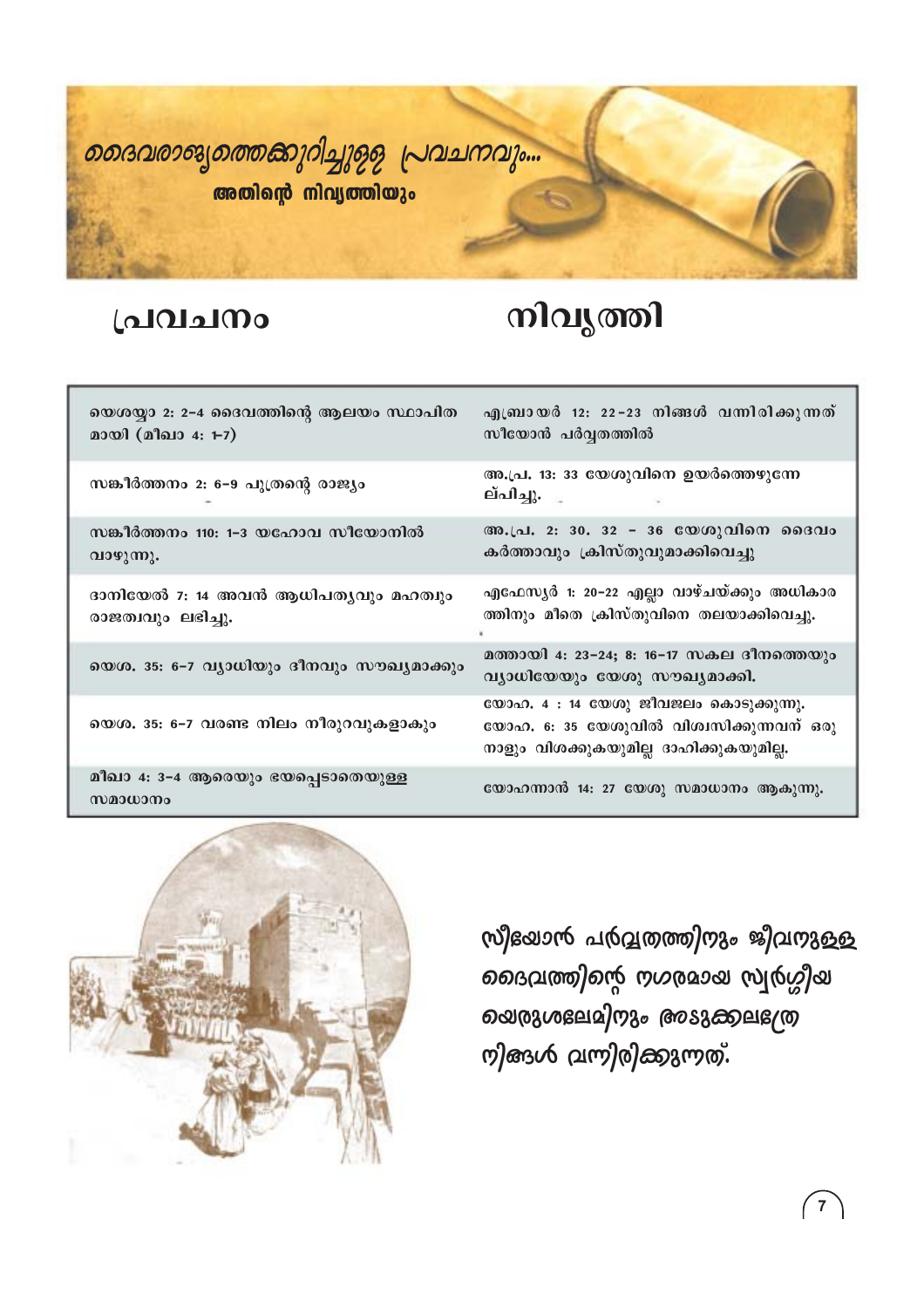

## പ്രവചനം

## നിവൃത്തി

| യെശയ്യാ 2: 2-4 ദൈവത്തിന്റെ ആലയം സ്ഥാപിത<br>മായി (മീഖാ 4: 1-7) | എബ്രായർ 12: 22-23 നിങ്ങൾ വന്നിരിക്കുന്നത്<br>സീയോൻ പർവ്വതത്തിൽ                                                               |
|---------------------------------------------------------------|------------------------------------------------------------------------------------------------------------------------------|
| സങ്കീർത്തനം 2: 6–9 പുത്രന്റെ രാജ്യം                           | അ.പ്ര. 13: 33 യേശുവിനെ ഉയർത്തെഴുന്നേ<br>ല്പിച്ചു.                                                                            |
| സങ്കീർത്തനം 110: 1–3 യഹോവ സീയോനിൽ<br>വാഴുന്നു.                | അ.പ്ര. 2: 30. 32 - 36 യേശുവിനെ ദൈവം<br>കർത്താവും ക്രിസ്തുവുമാക്കിവെച്ചു                                                      |
| ദാനിയേൽ 7: 14 അവൻ ആധിപത്യവും മഹത്വും<br>രാജത്വവും ലഭിച്ചു.    | എഫേസൃർ 1: 20−22 എല്ലാ വാഴ്ചയ്ക്കും അധികാര<br>ത്തിനും മീതെ ക്രിസ്തുവിനെ തലയാക്കിവെച്ചു.                                       |
| യെശ. 35: 6-7 വ്യാധിയും ദീനവും സൗഖ്യമാക്കും                    | മത്തായി 4: 23-24; 8: 16-17 സകല ദീനത്തെയും<br>വ്യാധിയേയും യേശു സൗഖ്യമാക്കി.                                                   |
| യെശ. 35: 6–7 വരണ്ട നിലം നീരുറവുകളാകും                         | യോഹ. 4 : 14 യേശു ജീവജലം കൊടുക്കുന്നു.<br>യോഹ. 6: 35 യേശുവിൽ വിശ്വസിക്കുന്നവന് ഒരു<br>നാളും വിശക്കുകയുമില്ല ദാഹിക്കുകയുമില്ല. |
| മീഖാ 4: 3-4 ആരെയും ഭയപ്പെടാതെയുള്ള<br>സമാധാനം                 | യോഹന്നാൻ 14: 27 യേശു സമാധാനം ആകുന്നു.                                                                                        |



സീഭയാൻ പർവ്വതത്തിന്ദും ജീവന്ദുള്ള ഉദെവത്തിന്റെ നഗരമായ സ്വർഗ്ഗീയ ൭ൕരുശലേമിനും അടുക്കലഭശ്ര றினும் வறிறிணுறை,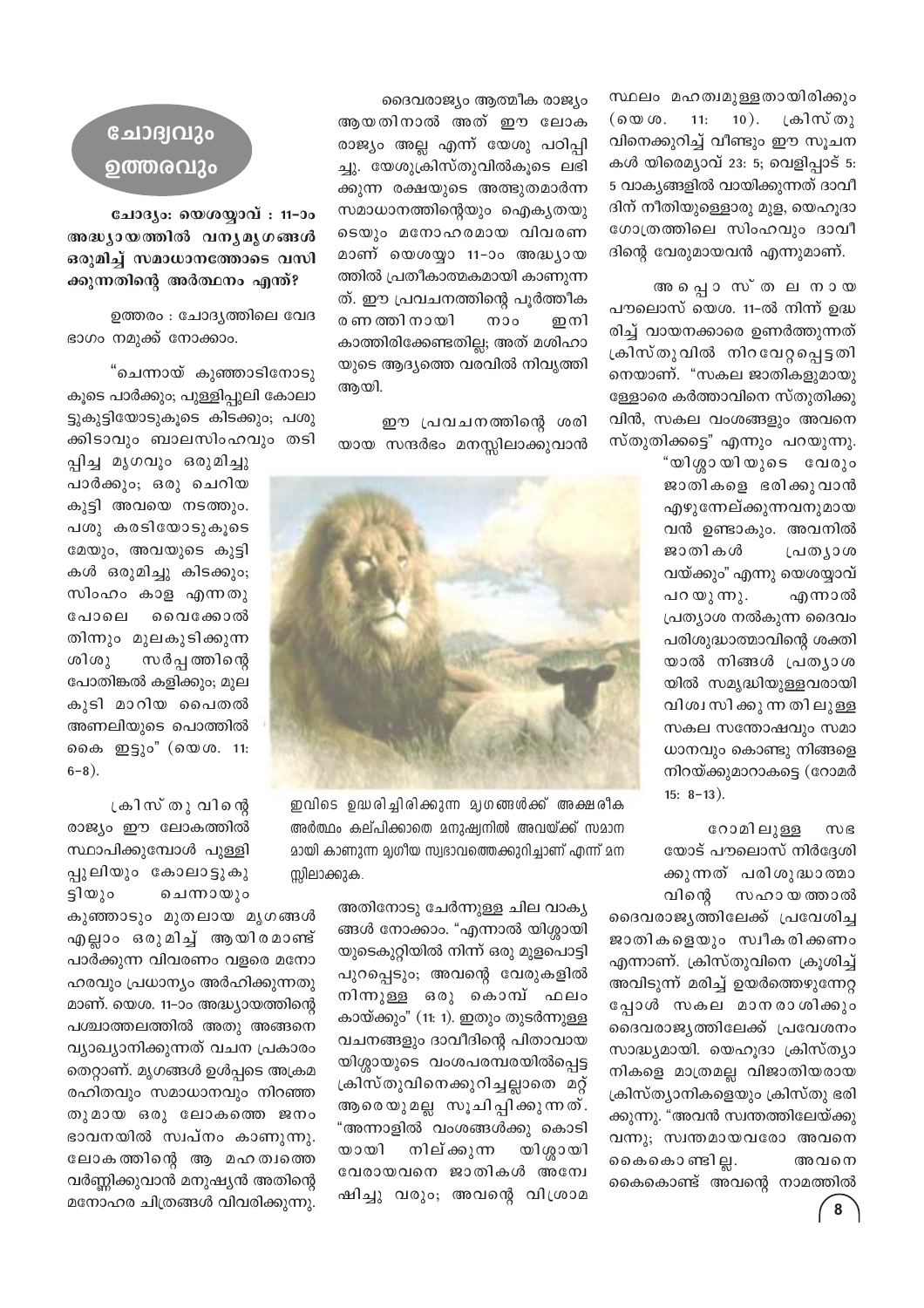സ്ഥലം മഹത്വമുള്ളതായിരിക്കും  $10$ ). ക്രിസ്തു  $($  @  $\omega$   $\omega$ .  $11:$ വിനെക്കുറിച്ച് വീണ്ടും ഈ സൂചന കൾ യിരെമ്യാവ് 23: 5; വെളിപ്പാട് 5: 5 വാകൃങ്ങളിൽ വായിക്കുന്നത് ദാവീ ദിന് നീതിയുള്ളൊരു മുള, യെഹൂദാ ഗോത്രത്തിലെ സിംഹവും ദാവീ ദിന്റെ വേരുമായവൻ എന്നുമാണ്.

അ പ്പൊസ്തലനായ പൗലൊസ് യെശ. 11-ൽ നിന്ന് ഉദ്ധ രിച്ച് വായനക്കാരെ ഉണർത്തുന്നത് ക്രിസ്തുവിൽ നിറവേറ്റപ്പെട്ടതി നെയാണ്. "സകല ജാതികളുമായു ള്ളോരെ കർത്താവിനെ സ്തുതിക്കു വിൻ, സകല വംശങ്ങളും അവനെ സ്തുതിക്കട്ടെ" എന്നും പറയുന്നു.

> "യിശ്ശായിയുടെ വേരും ജാതികളെ ഭരിക്കുവാൻ എഴുന്നേല്ക്കുന്നവനുമായ വൻ ഉണ്ടാകും. അവനിൽ ജാതികൾ പ്രത്യാശ വയ്ക്കും" എന്നു യെശയ്യാവ് പറയുന്നു. എന്നാൽ പ്രത്യാശ നൽകുന്ന ദൈവം പരിശുദ്ധാത്മാവിന്റെ ശക്തി യാൽ നിങ്ങൾ പ്രത്യാശ യിൽ സമൃദ്ധിയുള്ളവരായി വിശ്വസിക്കുന്ന തിലുള്ള സകല സന്തോഷവും സമാ ധാനവും കൊണ്ടു നിങ്ങളെ നിറയ്ക്കുമാറാകട്ടെ (റോമർ  $15: 8-13$ ).

റോമിലുള്ള സഭ യോട് പൗലൊസ് നിർദ്ദേശി ക്കുന്നത് പരിശുദ്ധാത്മാ വിന്റെ സഹാ യ ത്താൽ

ദൈവരാജ്യത്തിലേക്ക് പ്രവേശിച്ച ജാതികളെയും സ്വീകരിക്കണം എന്നാണ്. ക്രിസ്തുവിനെ ക്രൂശിച്ച് അവിടുന്ന് മരിച്ച് ഉയർത്തെഴുന്നേറ്റ പ്പോൾ സകല മാനരാശിക്കും ദൈവരാജൃത്തിലേക്ക് പ്രവേശനം സാദ്ധ്യമായി. യെഹൂദാ ക്രിസ്ത്യാ നികളെ മാത്രമല്ല വിജാതിയരായ ക്രിസ്ത്യാനികളെയും ക്രിസ്തു ഭരി ക്കുന്നു. "അവൻ സ്വന്തത്തിലേയ്ക്കു വന്നു; സ്വന്തമായവരോ അവനെ കൈകൊണ്ടി ല്ല. അവനെ കൈകൊണ്ട് അവന്റെ നാമത്തിൽ

ദൈവരാജ്യം ആത്മീക രാജ്യം ആയതിനാൽ അത് ഈ ലോക രാജ്യം അല്ല എന്ന് യേശു പഠിപ്പി ച്ചു. യേശുക്രിസ്തുവിൽകൂടെ ലഭി ക്കുന്ന രക്ഷയുടെ അത്ഭുതമാർന്ന സമാധാനത്തിന്റെയും ഐകൃതയു ടെയും മനോഹരമായ വിവരണ മാണ് യെശയ്യാ 11–ാം അദ്ധ്യായ ത്തിൽ പ്രതീകാത്മകമായി കാണുന്ന ത്. ഈ പ്രവചനത്തിന്റെ പൂർത്തീക രണ ത്തി നായി  $m$ o ഇനി കാത്തിരിക്കേണ്ടതില്ല; അത് മശിഹാ യുടെ ആദ്യത്തെ വരവിൽ നിവൃത്തി ആയി.

ഈ പ്രവചനത്തിന്റെ ശരി യായ സന്ദർഭം മനസ്സിലാക്കുവാൻ



ഇവിടെ ഉദ്ധരിച്ചിരിക്കുന്ന മൃഗങ്ങൾക്ക് അക്ഷരീക അർത്ഥം കല്പിക്കാതെ മനുഷ്വനിൽ അവയ്ക്ക് സമാന മായി കാണുന്ന മൃഗീയ സ്വഭാവത്തെക്കുറിച്ചാണ് എന്ന് മന സ്സിലാക്കുക.

> അതിനോടു ചേർന്നുള്ള ചില വാക്യ ങ്ങൾ നോക്കാം. "എന്നാൽ യിശ്ശായി യുടെകുറ്റിയിൽ നിന്ന് ഒരു മുളപൊട്ടി പുറപ്പെടും; അവന്റെ വേരുകളിൽ നിന്നുള്ള ഒരു കൊമ്പ് ഫലം കായ്ക്കും" (11: 1). ഇതും തുടർന്നുള്ള വചനങ്ങളും ദാവീദിന്റെ പിതാവായ യിശ്ശായുടെ വംശപരമ്പരയിൽപ്പെട്ട ക്രിസ്തുവിനെക്കുറിച്ചല്ലാതെ മറ്റ് ആരെയുമല്ല സൂചിപ്പിക്കുന്നത്. "അന്നാളിൽ വംശങ്ങൾക്കു കൊടി നില് ക്കുന്ന യിശ്ശായി യായി വേരായവനെ ജാതികൾ അന്വേ ഷിച്ചു വരും; അവന്റെ വിശ്രാമ

## ചോദ്വവും ൭ത്തരവും

ചോദ്യം: യെശയ്യാവ് : 11-ാം അദ്ധ്യായത്തിൽ വന്യമൃഗങ്ങൾ ഒരുമിച്ച് സമാധാനത്തോടെ വസി ക്കുന്നതിന്റെ അർത്ഥനം എന്ത്?

ഉത്തരം : ചോദൃത്തിലെ വേദ ഭാഗം നമുക്ക് നോക്കാം.

"ചെന്നായ് കുഞ്ഞാടിനോടു കൂടെ പാർക്കും; പുള്ളിപ്പുലി കോലാ ട്ടുകുട്ടിയോടുകൂടെ കിടക്കും; പശു ക്കിടാവും ബാലസിംഹവും തടി

പ്പിച്ച മൃഗവും ഒരുമിച്ചു പാർക്കും; ഒരു ചെറിയ കുട്ടി അവയെ നടത്തും. പശു കരടിയോടുകൂടെ മേയും, അവയുടെ കുട്ടി കൾ ഒരുമിച്ചു കിടക്കും; സിംഹം കാള എന്നതു വൈക്കോൽ പോലെ തിന്നും മുലകുടിക്കുന്ന സർപ്പ ത്തിന്റെ ശിശു പോതിങ്കൽ കളിക്കും; മുല കുടി മാറിയ പൈതൽ അണലിയുടെ പൊത്തിൽ കൈ ഇട്ടും" (യെശ. 11:  $6-8$ ).

്രകിസ് തു വിന്റെ രാജ്യം ഈ ലോകത്തിൽ സ്ഥാപിക്കുമ്പോൾ പുള്ളി പ്പുലിയും കോലാട്ടുകു ട്ടിയും ചെന്നായും

കുഞ്ഞാടും മുതലായ മൃഗങ്ങൾ എല്ലാം ഒരുമിച്ച് ആയിരമാണ്ട് പാർക്കുന്ന വിവരണം വളരെ മനോ ഹരവും പ്രധാന്യം അർഹിക്കുന്നതു മാണ്. യെശ. 11–ാം അദ്ധ്യായത്തിന്റെ പശ്ചാത്തലത്തിൽ അതു അങ്ങനെ വ്യാഖ്യാനിക്കുന്നത് വചന പ്രകാരം തെറ്റാണ്. മൃഗങ്ങൾ ഉൾപ്പടെ അക്രമ രഹിതവും സമാധാനവും നിറഞ്ഞ തുമായ ഒരു ലോകത്തെ ജനം ഭാവനയിൽ സ്വപ്നം കാണുന്നു. ലോകത്തിന്റെ ആ മഹത്വത്തെ വർണ്ണിക്കുവാൻ മനുഷ്യൻ അതിന്റെ മനോഹര ചിത്രങ്ങൾ വിവരിക്കുന്നു.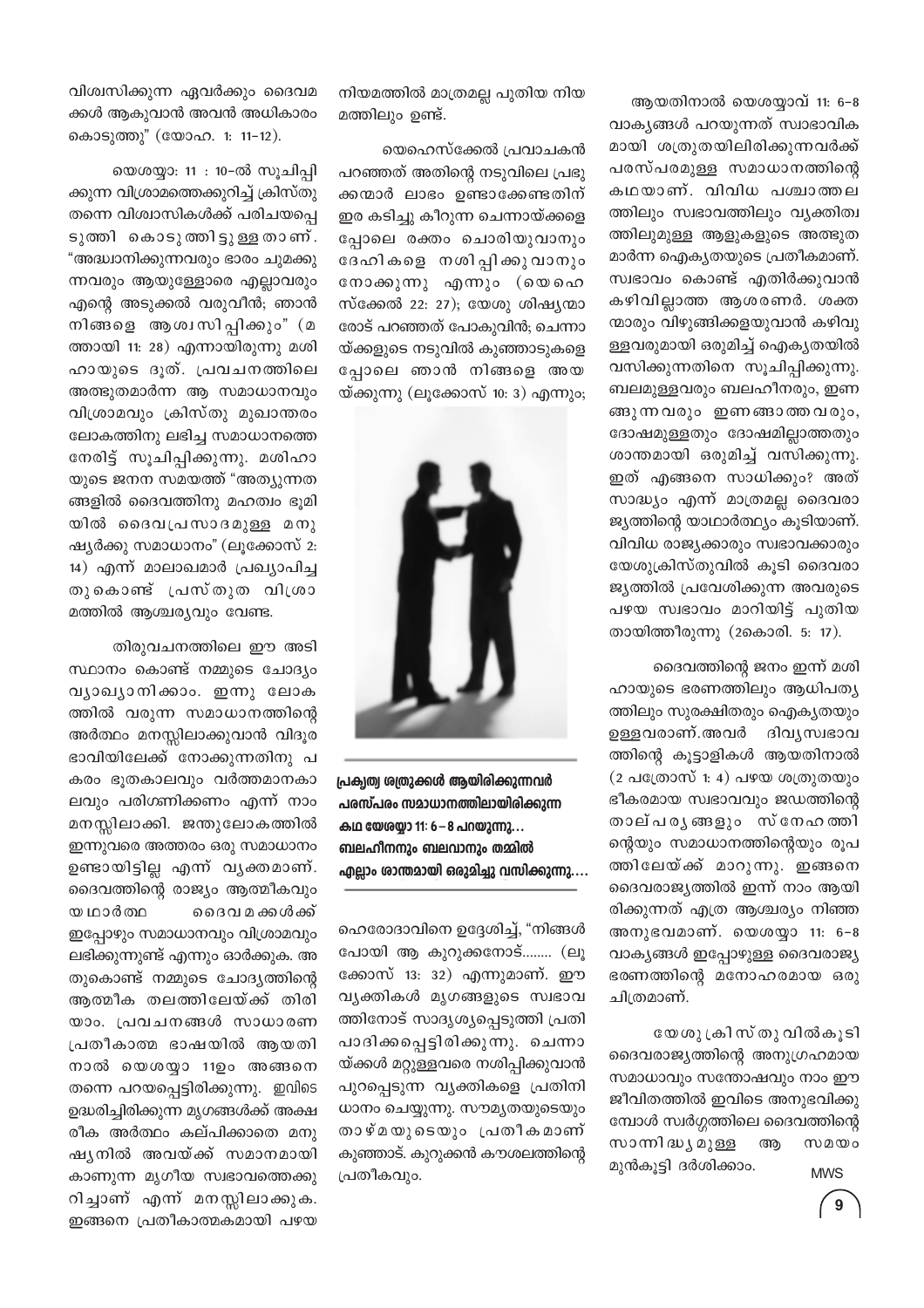ആയതിനാൽ യെശയ്യാവ് 11: 6-8 വാകൃങ്ങൾ പറയുന്നത് സ്വാഭാവിക മായി ശത്രുതയിലിരിക്കുന്നവർക്ക് പരസ്പരമുള്ള സമാധാനത്തിന്റെ കഥയാണ്. വിവിധ പശ്ചാത്തല ത്തിലും സ്വഭാവത്തിലും വ്യക്തിത്വ ത്തിലുമുള്ള ആളുകളുടെ അത്ഭുത മാർന്ന ഐക്യതയുടെ പ്രതീകമാണ്. സ്വഭാവം കൊണ്ട് എതിർക്കുവാൻ കഴിവില്ലാത്ത ആശരണർ. ശക്ത ന്മാരും വിഴുങ്ങിക്കളയുവാൻ കഴിവു ള്ളവരുമായി ഒരുമിച്ച് ഐക്യതയിൽ വസിക്കുന്നതിനെ സൂചിപ്പിക്കുന്നു. ബലമുള്ളവരും ബലഹീനരും, ഇണ ങ്ങുന്ന വരും ഇണങ്ങാത്ത വരും, ദോഷമുള്ളതും ദോഷമില്ലാത്തതും ശാന്തമായി ഒരുമിച്ച് വസിക്കുന്നു. ഇത് എങ്ങനെ സാധിക്കും? അത് സാദ്ധ്യം എന്ന് മാത്രമല്ല ദൈവരാ ജ്യത്തിന്റെ യാഥാർത്ഥ്യം കുടിയാണ്. വിവിധ രാജ്യക്കാരും സ്വഭാവക്കാരും യേശുക്രിസ്തുവിൽ കൂടി ദൈവരാ ജ്യത്തിൽ പ്രവേശിക്കുന്ന അവരുടെ പഴയ സ്വഭാവം മാറിയിട്ട് പുതിയ തായിത്തീരുന്നു (2കൊരി. 5: 17).

ദൈവത്തിന്റെ ജനം ഇന്ന് മശി ഹായുടെ ഭരണത്തിലും ആധിപത്യ ത്തിലും സുരക്ഷിതരും ഐക്യതയും ഉള്ളവരാണ്.അവർ ദിവ്യസ്വഭാവ ത്തിന്റെ കൂട്ടാളികൾ ആയതിനാൽ (2 പത്രോസ് 1: 4) പഴയ ശത്രുതയും ഭീകരമായ സ്വഭാവവും ജഡത്തിന്റെ താല്പരൃങ്ങളും സ്നേഹത്തി ന്റെയും സമാധാനത്തിന്റെയും രൂപ ത്തിലേയ്ക്ക് മാറുന്നു. ഇങ്ങനെ ദൈവരാജ്യത്തിൽ ഇന്ന് നാം ആയി രിക്കുന്നത് എത്ര ആശ്ചര്യം നിഞ്ഞ അനുഭവമാണ്. യെശയ്യാ 11: 6-8 വാകൃങ്ങൾ ഇപ്പോഴുള്ള ദൈവരാജ്യ ഭരണത്തിന്റെ മനോഹരമായ ഒരു ചിത്രമാണ്.

യേശു ക്രിസ് തു വിൽകൂടി ദൈവരാജ്യത്തിന്റെ അനുഗ്രഹമായ സമാധാവും സന്തോഷവും നാം ഈ ജീവിതത്തിൽ ഇവിടെ അനുഭവിക്കു മ്പോൾ സ്വർഗ്ഗത്തിലെ ദൈവത്തിന്റെ സാന്നി ദ്ധ്യ മുള്ള അ  $w$   $\omega$   $\infty$ മുൻകൂട്ടി ദർശിക്കാം.

**MWS** 

നിയമത്തിൽ മാത്രമല്ല പുതിയ നിയ മത്തിലും ഉണ്ട്.

യെഹെസ്ക്കേൽ പ്രവാചകൻ പറഞ്ഞത് അതിന്റെ നടുവിലെ പ്രഭു ക്കന്മാർ ലാഭം ഉണ്ടാക്കേണ്ടതിന് ഇര കടിച്ചു കീറുന്ന ചെന്നായ്ക്കളെ പ്പോലെ രക്തം ചൊരിയുവാനും ദേഹികളെ നശിപ്പിക്കുവാനും നോക്കുന്നു എന്നും (യെഹെ സ്ക്കേൽ 22: 27); യേശു ശിഷ്യന്മാ രോട് പറഞ്ഞത് പോകുവിൻ; ചെന്നാ യ്ക്കളുടെ നടുവിൽ കുഞ്ഞാടുകളെ പ്പോലെ ഞാൻ നിങ്ങളെ അയ യ്ക്കുന്നു (ലൂക്കോസ് 10: 3) എന്നും;



പ്രക്വത്വ ശ്വതുക്കൾ ആയിരിക്കുന്നവർ പരസ്പരം സമാധാനത്തിലായിരിക്കുന്ന കഥ യേശയാ 11: 6 – 8 പറയുന്നു... ബലഹീനനും ബലവാനും തമ്മിൽ എല്ലാം ശാന്തമായി ഒരുമിച്ചു വസിക്കുന്നു....

ഹെരോദാവിനെ ഉദ്ദേശിച്ച്, "നിങ്ങൾ പോയി ആ കുറുക്കനോട്........ (ലൂ ക്കോസ് 13: 32) എന്നുമാണ്. ഈ വ്യക്തികൾ മൃഗങ്ങളുടെ സ്വഭാവ ത്തിനോട് സാദൃശ്യപ്പെടുത്തി പ്രതി പാദിക്കപ്പെട്ടിരിക്കുന്നു. ചെന്നാ യ്ക്കൾ മറ്റുള്ളവരെ നശിപ്പിക്കുവാൻ പുറപ്പെടുന്ന വ്യക്തികളെ പ്രതിനി ധാനം ചെയ്യുന്നു. സൗമൃതയുടെയും താഴ്മയുടെയും പ്രതീകമാണ് കുഞ്ഞാട്. കുറുക്കൻ കൗശലത്തിന്റെ പ്രതീകവും.

വിശ്വസിക്കുന്ന ഏവർക്കും ദൈവമ ക്കൾ ആകുവാൻ അവൻ അധികാരം കൊടുത്തു" (യോഹ. 1: 11-12).

യെശയ്യാ: 11 : 10-ൽ സൂചിപ്പി ക്കുന്ന വിശ്രാമത്തെക്കുറിച്ച് ക്രിസ്തു തന്നെ വിശ്വാസികൾക്ക് പരിചയപ്പെ ടുത്തി കൊടുത്തിട്ടുള്ള താണ്. "അദ്ധ്വാനിക്കുന്നവരും ഭാരം ചുമക്കു ന്നവരും ആയുള്ളോരെ എല്ലാവരും എന്റെ അടുക്കൽ വരുവീൻ; ഞാൻ നിങ്ങളെ ആശ്വസിപ്പിക്കും" (മ ത്തായി 11: 28) എന്നായിരുന്നു മശി ഹായുടെ ദൂത്. പ്രവചനത്തിലെ അത്ഭുതമാർന്ന ആ സമാധാനവും വിശ്രാമവും ക്രിസ്തു മുഖാന്തരം ലോകത്തിനു ലഭിച്ച സമാധാനത്തെ നേരിട്ട് സൂചിപ്പിക്കുന്നു. മശിഹാ യുടെ ജനന സമയത്ത് "അത്യുന്നത ങ്ങളിൽ ദൈവത്തിനു മഹത്വം ഭൂമി യിൽ ദൈവപ്രസാദമുള്ള മനു ഷ്യർക്കു സമാധാനം" (ലൂക്കോസ് 2: 14) എന്ന് മാലാഖമാർ പ്രഖ്യാപിച്ച തുകൊണ്ട് പ്രസ്തുത വിശ്രാ മത്തിൽ ആശ്ചര്യവും വേണ്ട.

തിരുവചനത്തിലെ ഈ അടി

സ്ഥാനം കൊണ്ട് നമ്മുടെ ചോദ്യം വ്യാഖ്യാനിക്കാം. ഇന്നു ലോക ത്തിൽ വരുന്ന സമാധാനത്തിന്റെ അർത്ഥം മനസ്സിലാക്കുവാൻ വിദൂര ഭാവിയിലേക്ക് നോക്കുന്നതിനു പ കരം ഭൂതകാലവും വർത്തമാനകാ ലവും പരിഗണിക്കണം എന്ന് നാം മനസ്സിലാക്കി. ജന്തുലോകത്തിൽ ഇന്നുവരെ അത്തരം ഒരു സമാധാനം ഉണ്ടായിട്ടില്ല എന്ന് വൃക്തമാണ്. ദൈവത്തിന്റെ രാജ്യം ആത്മീകവും യ ഥാർത്ഥ ദൈവ മ ക്കൾക്ക് ഇപ്പോഴും സമാധാനവും വിശ്രാമവും ലഭിക്കുന്നുണ്ട് എന്നും ഓർക്കുക. അ തുകൊണ്ട് നമ്മുടെ ചോദൃത്തിന്റെ ആത്മീക തലത്തിലേയ്ക്ക് തിരി യാം. പ്രവചനങ്ങൾ സാധാരണ പ്രതീകാത്മ ഭാഷയിൽ ആയതി നാൽ യെശയ്യാ 11ഉം അങ്ങനെ തന്നെ പറയപ്പെട്ടിരിക്കുന്നു. ഇവിടെ ഉദ്ധരിച്ചിരിക്കുന്ന മൃഗങ്ങൾക്ക് അക്ഷ രീക അർത്ഥം കല്പിക്കാതെ മനു ഷൃനിൽ അവയ്ക്ക് സമാനമായി കാണുന്ന മൃഗീയ സ്വഭാവത്തെക്കു റിച്ചാണ് എന്ന് മനസ്സിലാക്കുക. ഇങ്ങനെ പ്രതീകാത്മകമായി പഴയ